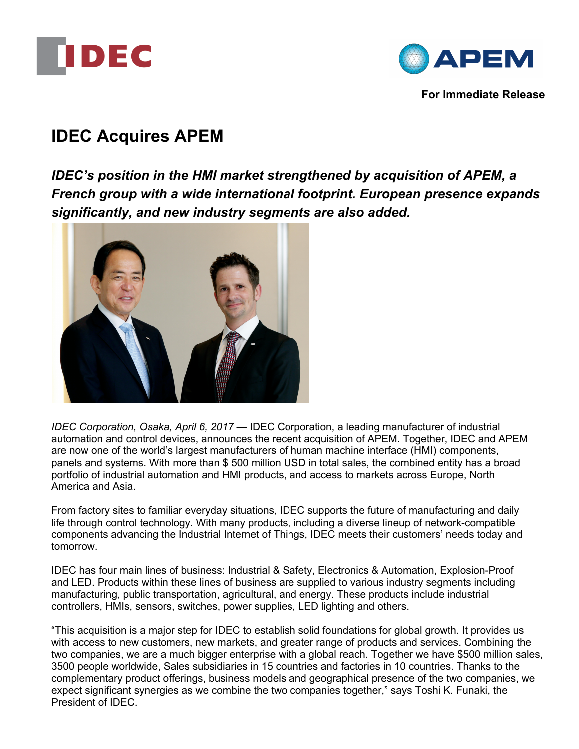



## **IDEC Acquires APEM**

*IDEC's position in the HMI market strengthened by acquisition of APEM, a French group with a wide international footprint. European presence expands significantly, and new industry segments are also added.*



*IDEC Corporation, Osaka, April 6, 2017* — IDEC Corporation, a leading manufacturer of industrial automation and control devices, announces the recent acquisition of APEM. Together, IDEC and APEM are now one of the world's largest manufacturers of human machine interface (HMI) components, panels and systems. With more than \$ 500 million USD in total sales, the combined entity has a broad portfolio of industrial automation and HMI products, and access to markets across Europe, North America and Asia.

From factory sites to familiar everyday situations, IDEC supports the future of manufacturing and daily life through control technology. With many products, including a diverse lineup of network-compatible components advancing the Industrial Internet of Things, IDEC meets their customers' needs today and tomorrow.

IDEC has four main lines of business: Industrial & Safety, Electronics & Automation, Explosion-Proof and LED. Products within these lines of business are supplied to various industry segments including manufacturing, public transportation, agricultural, and energy. These products include industrial controllers, HMIs, sensors, switches, power supplies, LED lighting and others.

"This acquisition is a major step for IDEC to establish solid foundations for global growth. It provides us with access to new customers, new markets, and greater range of products and services. Combining the two companies, we are a much bigger enterprise with a global reach. Together we have \$500 million sales, 3500 people worldwide, Sales subsidiaries in 15 countries and factories in 10 countries. Thanks to the complementary product offerings, business models and geographical presence of the two companies, we expect significant synergies as we combine the two companies together," says Toshi K. Funaki, the President of IDEC.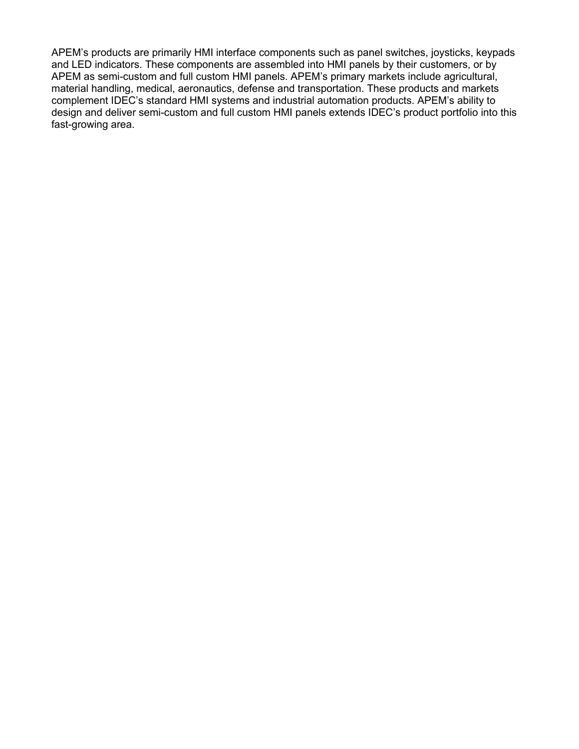APEM's products are primarily HMI interface components such as panel switches, joysticks, keypads and LED indicators. These components are assembled into HMI panels by their customers, or by APEM as semi-custom and full custom HMI panels. APEM's primary markets include agricultural, material handling, medical, aeronautics, defense and transportation. These products and markets complement IDEC's standard HMI systems and industrial automation products. APEM's ability to design and deliver semi-custom and full custom HMI panels extends IDEC's product portfolio into this fast-growing area.